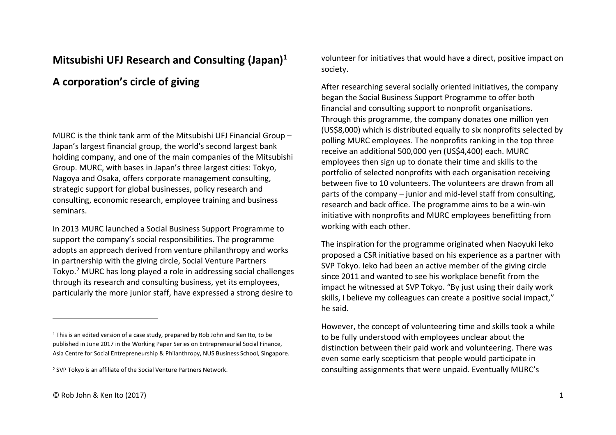## **Mitsubishi UFJ Research and Consulting (Japan)<sup>1</sup>**

## **A corporation's circle of giving**

MURC is the think tank arm of the Mitsubishi UFJ Financial Group – Japan's largest financial group, the world's second largest bank holding company, and one of the main companies of the Mitsubishi Group. MURC, with bases in Japan's three largest cities: Tokyo, Nagoya and Osaka, offers corporate management consulting, strategic support for global businesses, policy research and consulting, economic research, employee training and business seminars.

In 2013 MURC launched a Social Business Support Programme to support the company's social responsibilities. The programme adopts an approach derived from venture philanthropy and works in partnership with the giving circle, Social Venture Partners Tokyo. <sup>2</sup> MURC has long played a role in addressing social challenges through its research and consulting business, yet its employees, particularly the more junior staff, have expressed a strong desire to

volunteer for initiatives that would have a direct, positive impact on society.

After researching several socially oriented initiatives, the company began the Social Business Support Programme to offer both financial and consulting support to nonprofit organisations. Through this programme, the company donates one million yen (US\$8,000) which is distributed equally to six nonprofits selected by polling MURC employees. The nonprofits ranking in the top three receive an additional 500,000 yen (US\$4,400) each. MURC employees then sign up to donate their time and skills to the portfolio of selected nonprofits with each organisation receiving between five to 10 volunteers. The volunteers are drawn from all parts of the company – junior and mid-level staff from consulting, research and back office. The programme aims to be a win-win initiative with nonprofits and MURC employees benefitting from working with each other.

The inspiration for the programme originated when Naoyuki Ieko proposed a CSR initiative based on his experience as a partner with SVP Tokyo. Ieko had been an active member of the giving circle since 2011 and wanted to see his workplace benefit from the impact he witnessed at SVP Tokyo. "By just using their daily work skills, I believe my colleagues can create a positive social impact," he said.

However, the concept of volunteering time and skills took a while to be fully understood with employees unclear about the distinction between their paid work and volunteering. There was even some early scepticism that people would participate in consulting assignments that were unpaid. Eventually MURC's

 $1$  This is an edited version of a case study, prepared by Rob John and Ken Ito, to be published in June 2017 in the Working Paper Series on Entrepreneurial Social Finance, Asia Centre for Social Entrepreneurship & Philanthropy, NUS Business School, Singapore.

<sup>2</sup> SVP Tokyo is an affiliate of the Social Venture Partners Network.